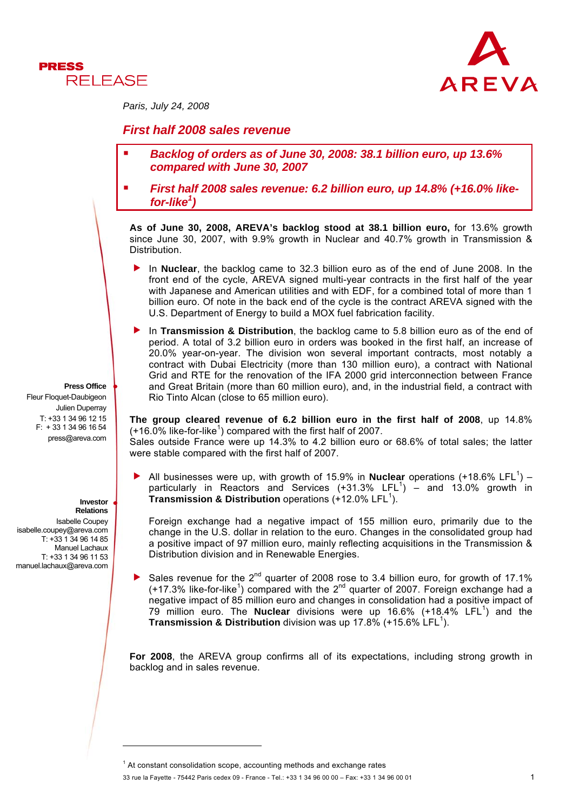



*Paris, July 24, 2008* 

# *First half 2008 sales revenue*

- *Backlog of orders as of June 30, 2008: 38.1 billion euro, up 13.6% compared with June 30, 2007*
- *First half 2008 sales revenue: 6.2 billion euro, up 14.8% (+16.0% like for-like1 )*

**As of June 30, 2008, AREVA's backlog stood at 38.1 billion euro,** for 13.6% growth since June 30, 2007, with 9.9% growth in Nuclear and 40.7% growth in Transmission & Distribution.

- In **Nuclear**, the backlog came to 32.3 billion euro as of the end of June 2008. In the front end of the cycle, AREVA signed multi-year contracts in the first half of the year with Japanese and American utilities and with EDF, for a combined total of more than 1 billion euro. Of note in the back end of the cycle is the contract AREVA signed with the U.S. Department of Energy to build a MOX fuel fabrication facility.
- **F** In Transmission & Distribution, the backlog came to 5.8 billion euro as of the end of period. A total of 3.2 billion euro in orders was booked in the first half, an increase of 20.0% year-on-year. The division won several important contracts, most notably a contract with Dubai Electricity (more than 130 million euro), a contract with National Grid and RTE for the renovation of the IFA 2000 grid interconnection between France and Great Britain (more than 60 million euro), and, in the industrial field, a contract with Rio Tinto Alcan (close to 65 million euro).

**The group cleared revenue of 6.2 billion euro in the first half of 2008**, up 14.8%  $(+16.0\%$  like-for-like<sup>1</sup>) compared with the first half of 2007. Sales outside France were up 14.3% to 4.2 billion euro or 68.6% of total sales; the latter

were stable compared with the first half of 2007.

All businesses were up, with growth of 15.9% in **Nuclear** operations  $(+18.6\%$  LFL<sup>1</sup>) particularly in Reactors and Services  $(+31.3\%$  LFL<sup>1</sup>) - and 13.0% growth in **Transmission & Distribution** operations (+12.0% LFL<sup>1</sup>).

Foreign exchange had a negative impact of 155 million euro, primarily due to the change in the U.S. dollar in relation to the euro. Changes in the consolidated group had a positive impact of 97 million euro, mainly reflecting acquisitions in the Transmission & Distribution division and in Renewable Energies.

Sales revenue for the  $2^{nd}$  quarter of 2008 rose to 3.4 billion euro, for growth of 17.1%  $(+17.3\%$  like-for-like<sup>1</sup>) compared with the 2<sup>nd</sup> quarter of 2007. Foreign exchange had a negative impact of 85 million euro and changes in consolidation had a positive impact of 79 million euro. The **Nuclear** divisions were up 16.6% (+18.4% LFL<sup>1</sup>) and the **Transmission & Distribution** division was up 17.8% (+15.6% LFL<sup>1</sup>).

**For 2008**, the AREVA group confirms all of its expectations, including strong growth in backlog and in sales revenue.

 $<sup>1</sup>$  At constant consolidation scope, accounting methods and exchange rates</sup>

33 rue la Fayette - 75442 Paris cedex 09 - France - Tel.: +33 1 34 96 00 00 – Fax: +33 1 34 96 00 01 1

#### **Press Office**

Fleur Floquet-Daubigeon Julien Duperray T: +33 1 34 96 12 15 F: + 33 1 34 96 16 54 press@areva.com

#### **Investor Relations**

l

Isabelle Coupey isabelle.coupey@areva.com T: +33 1 34 96 14 85 Manuel Lachaux T: +33 1 34 96 11 53 manuel.lachaux@areva.com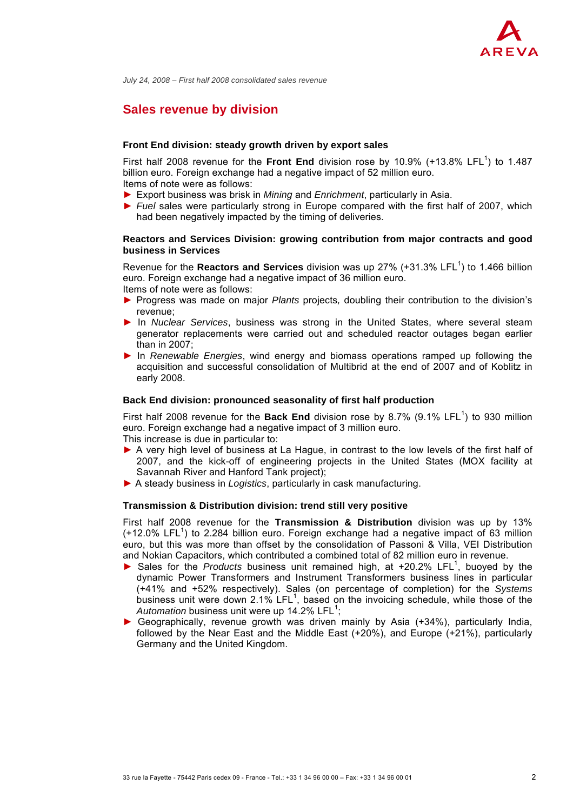

*July 24, 2008 – First half 2008 consolidated sales revenue*

# **Sales revenue by division**

#### **Front End division: steady growth driven by export sales**

First half 2008 revenue for the Front End division rose by 10.9%  $(+13.8\%$  LFL<sup>1</sup>) to 1.487 billion euro. Foreign exchange had a negative impact of 52 million euro. Items of note were as follows:

- ► Export business was brisk in *Mining* and *Enrichment*, particularly in Asia.
- ► *Fuel* sales were particularly strong in Europe compared with the first half of 2007, which had been negatively impacted by the timing of deliveries.

### **Reactors and Services Division: growing contribution from major contracts and good business in Services**

Revenue for the **Reactors and Services** division was up 27% (+31.3% LFL<sup>1</sup>) to 1.466 billion euro. Foreign exchange had a negative impact of 36 million euro. Items of note were as follows:

- ► Progress was made on major *Plants* projects*,* doubling their contribution to the division's revenue;
- ► In *Nuclear Services*, business was strong in the United States, where several steam generator replacements were carried out and scheduled reactor outages began earlier than in 2007;
- ► In *Renewable Energies*, wind energy and biomass operations ramped up following the acquisition and successful consolidation of Multibrid at the end of 2007 and of Koblitz in early 2008.

#### **Back End division: pronounced seasonality of first half production**

First half 2008 revenue for the **Back End** division rose by 8.7% (9.1% LFL<sup>1</sup>) to 930 million euro. Foreign exchange had a negative impact of 3 million euro.

This increase is due in particular to:

- ▶ A very high level of business at La Hague, in contrast to the low levels of the first half of 2007, and the kick-off of engineering projects in the United States (MOX facility at Savannah River and Hanford Tank project);
- ► A steady business in *Logistics*, particularly in cask manufacturing.

#### **Transmission & Distribution division: trend still very positive**

First half 2008 revenue for the **Transmission & Distribution** division was up by 13%  $(+12.0\%$  LFL<sup>1</sup>) to 2.284 billion euro. Foreign exchange had a negative impact of 63 million euro, but this was more than offset by the consolidation of Passoni & Villa, VEI Distribution and Nokian Capacitors, which contributed a combined total of 82 million euro in revenue.

- ▶ Sales for the *Products* business unit remained high, at +20.2% LFL<sup>1</sup>, buoyed by the dynamic Power Transformers and Instrument Transformers business lines in particular (+41% and +52% respectively). Sales (on percentage of completion) for the *Systems*  business unit were down 2.1% LFL<sup>1</sup>, based on the invoicing schedule, while those of the Automation business unit were up 14.2% LFL<sup>1</sup>;
- ► Geographically, revenue growth was driven mainly by Asia (+34%), particularly India, followed by the Near East and the Middle East (+20%), and Europe (+21%), particularly Germany and the United Kingdom.